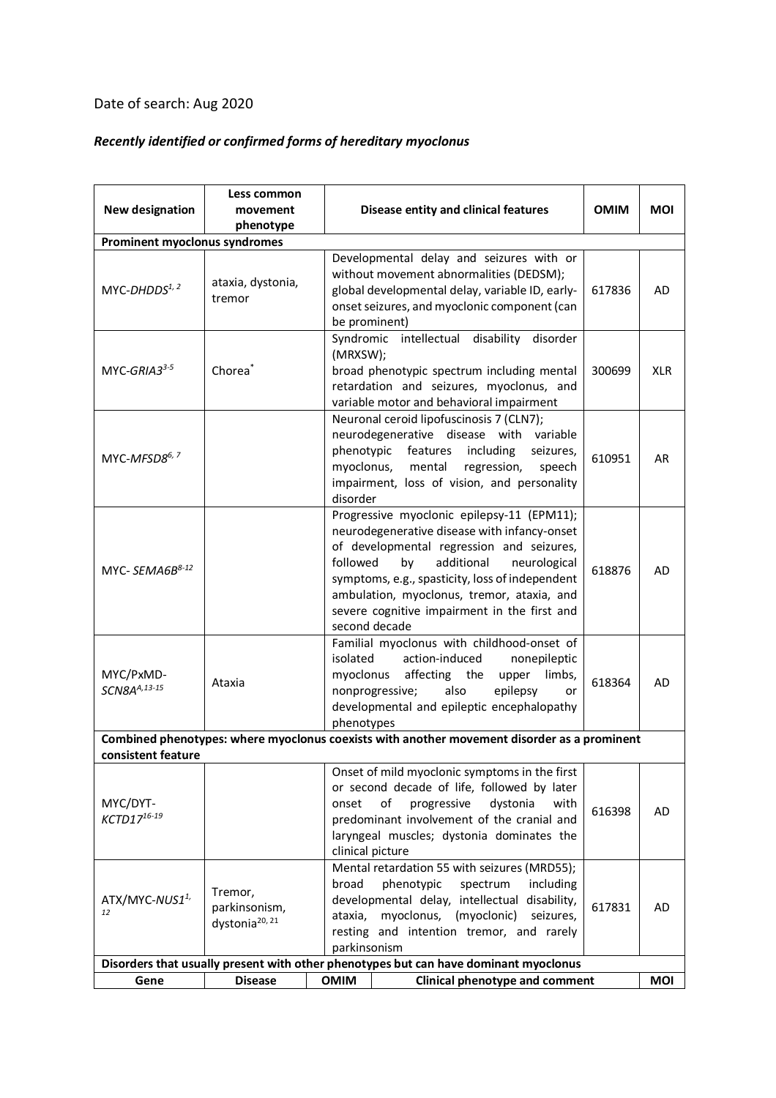## Date of search: Aug 2020

## *Recently identified or confirmed forms of hereditary myoclonus*

| <b>New designation</b>                                                               | Less common<br>movement<br>phenotype                   | Disease entity and clinical features                                                                                                                                                                                                                                                                                                                      | <b>OMIM</b> | <b>MOI</b> |  |  |  |  |  |
|--------------------------------------------------------------------------------------|--------------------------------------------------------|-----------------------------------------------------------------------------------------------------------------------------------------------------------------------------------------------------------------------------------------------------------------------------------------------------------------------------------------------------------|-------------|------------|--|--|--|--|--|
| Prominent myoclonus syndromes                                                        |                                                        |                                                                                                                                                                                                                                                                                                                                                           |             |            |  |  |  |  |  |
| MYC-DHDDS1, 2                                                                        | ataxia, dystonia,<br>tremor                            | Developmental delay and seizures with or<br>without movement abnormalities (DEDSM);<br>global developmental delay, variable ID, early-<br>onset seizures, and myoclonic component (can<br>be prominent)                                                                                                                                                   | 617836      | AD         |  |  |  |  |  |
| MYC-GRIA3 <sup>3-5</sup>                                                             | Chorea <sup>*</sup>                                    | Syndromic intellectual disability disorder<br>(MRXSW);<br>broad phenotypic spectrum including mental<br>retardation and seizures, myoclonus, and<br>variable motor and behavioral impairment                                                                                                                                                              | 300699      | <b>XLR</b> |  |  |  |  |  |
| MYC-MFSD8 <sup>6, 7</sup>                                                            |                                                        | Neuronal ceroid lipofuscinosis 7 (CLN7);<br>neurodegenerative disease with variable<br>phenotypic<br>features<br>including<br>seizures,<br>myoclonus,<br>mental<br>regression,<br>speech<br>impairment, loss of vision, and personality<br>disorder                                                                                                       | 610951      | AR         |  |  |  |  |  |
| MYC- $SEMAGB^{8-12}$                                                                 |                                                        | Progressive myoclonic epilepsy-11 (EPM11);<br>neurodegenerative disease with infancy-onset<br>of developmental regression and seizures,<br>additional<br>followed<br>neurological<br>by<br>symptoms, e.g., spasticity, loss of independent<br>ambulation, myoclonus, tremor, ataxia, and<br>severe cognitive impairment in the first and<br>second decade | 618876      | AD         |  |  |  |  |  |
| MYC/PxMD-<br>SCN8AA,13-15                                                            | Ataxia                                                 | Familial myoclonus with childhood-onset of<br>isolated<br>action-induced<br>nonepileptic<br>myoclonus affecting the<br>upper limbs,<br>also<br>epilepsy<br>nonprogressive;<br>or<br>developmental and epileptic encephalopathy<br>phenotypes                                                                                                              | 618364      | AD         |  |  |  |  |  |
|                                                                                      |                                                        | Combined phenotypes: where myoclonus coexists with another movement disorder as a prominent                                                                                                                                                                                                                                                               |             |            |  |  |  |  |  |
| consistent feature<br>MYC/DYT-<br>KCTD1716-19                                        |                                                        | Onset of mild myoclonic symptoms in the first<br>or second decade of life, followed by later<br>progressive<br>dystonia<br>onset<br>of<br>with<br>predominant involvement of the cranial and<br>laryngeal muscles; dystonia dominates the<br>clinical picture                                                                                             | 616398      | AD         |  |  |  |  |  |
| ATX/MYC-NUS1 <sup>1,</sup><br>12                                                     | Tremor,<br>parkinsonism,<br>dystonia <sup>20, 21</sup> | Mental retardation 55 with seizures (MRD55);<br>broad<br>phenotypic<br>spectrum<br>including<br>developmental delay, intellectual disability,<br>ataxia,<br>myoclonus,<br>(myoclonic)<br>seizures,<br>resting and intention tremor, and rarely<br>parkinsonism                                                                                            | 617831      | AD         |  |  |  |  |  |
| Disorders that usually present with other phenotypes but can have dominant myoclonus |                                                        |                                                                                                                                                                                                                                                                                                                                                           |             |            |  |  |  |  |  |
| Gene                                                                                 | <b>Disease</b>                                         | <b>OMIM</b><br><b>Clinical phenotype and comment</b>                                                                                                                                                                                                                                                                                                      |             | MOI        |  |  |  |  |  |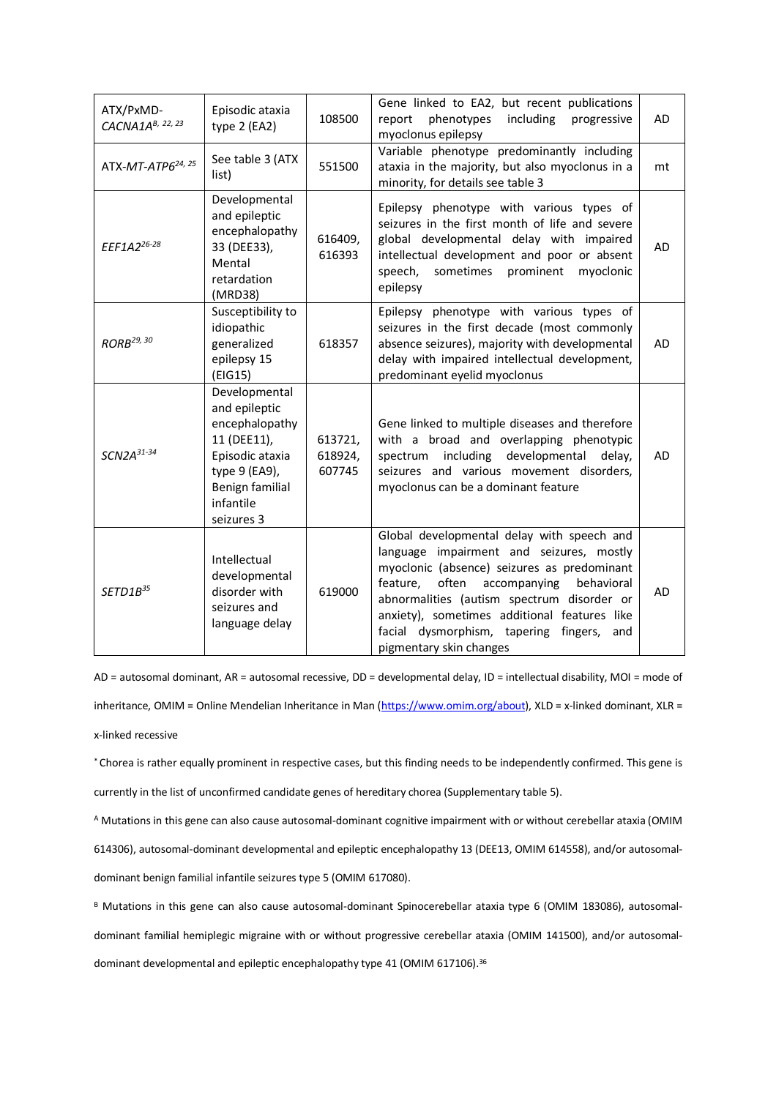| ATX/PxMD-<br>CACNA1 $A^{B, 22, 23}$ | Episodic ataxia<br>type 2 (EA2)                                                                                                                   | 108500                       | Gene linked to EA2, but recent publications<br>phenotypes<br>including<br>report<br>progressive<br>myoclonus epilepsy                                                                                                                                                                                                                                             | <b>AD</b> |
|-------------------------------------|---------------------------------------------------------------------------------------------------------------------------------------------------|------------------------------|-------------------------------------------------------------------------------------------------------------------------------------------------------------------------------------------------------------------------------------------------------------------------------------------------------------------------------------------------------------------|-----------|
| ATX-MT-ATP6 <sup>24, 25</sup>       | See table 3 (ATX<br>list)                                                                                                                         | 551500                       | Variable phenotype predominantly including<br>ataxia in the majority, but also myoclonus in a<br>minority, for details see table 3                                                                                                                                                                                                                                | mt        |
| EEF1A2 <sup>26-28</sup>             | Developmental<br>and epileptic<br>encephalopathy<br>33 (DEE33),<br>Mental<br>retardation<br>(MRD38)                                               | 616409,<br>616393            | Epilepsy phenotype with various types of<br>seizures in the first month of life and severe<br>global developmental delay with impaired<br>intellectual development and poor or absent<br>sometimes prominent<br>myoclonic<br>speech,<br>epilepsy                                                                                                                  | AD        |
| RORB <sup>29, 30</sup>              | Susceptibility to<br>idiopathic<br>generalized<br>epilepsy 15<br>(EIG15)                                                                          | 618357                       | Epilepsy phenotype with various types of<br>seizures in the first decade (most commonly<br>absence seizures), majority with developmental<br>delay with impaired intellectual development,<br>predominant eyelid myoclonus                                                                                                                                        | AD        |
| $SCN2A^{31-34}$                     | Developmental<br>and epileptic<br>encephalopathy<br>11 (DEE11),<br>Episodic ataxia<br>type 9 (EA9),<br>Benign familial<br>infantile<br>seizures 3 | 613721,<br>618924,<br>607745 | Gene linked to multiple diseases and therefore<br>with a broad and overlapping phenotypic<br>including<br>developmental<br>spectrum<br>delay,<br>seizures and various movement disorders,<br>myoclonus can be a dominant feature                                                                                                                                  | <b>AD</b> |
| SETD1B <sup>35</sup>                | Intellectual<br>developmental<br>disorder with<br>seizures and<br>language delay                                                                  | 619000                       | Global developmental delay with speech and<br>language impairment and seizures, mostly<br>myoclonic (absence) seizures as predominant<br>feature,<br>often<br>behavioral<br>accompanying<br>abnormalities (autism spectrum disorder or<br>anxiety), sometimes additional features like<br>facial dysmorphism, tapering fingers,<br>and<br>pigmentary skin changes | AD        |

AD = autosomal dominant, AR = autosomal recessive, DD = developmental delay, ID = intellectual disability, MOI = mode of inheritance, OMIM = Online Mendelian Inheritance in Man (https://www.omim.org/about), XLD = x-linked dominant, XLR = x-linked recessive

\* Chorea is rather equally prominent in respective cases, but this finding needs to be independently confirmed. This gene is currently in the list of unconfirmed candidate genes of hereditary chorea (Supplementary table 5).

<sup>A</sup> Mutations in this gene can also cause autosomal-dominant cognitive impairment with or without cerebellar ataxia (OMIM

614306), autosomal-dominant developmental and epileptic encephalopathy 13 (DEE13, OMIM 614558), and/or autosomaldominant benign familial infantile seizures type 5 (OMIM 617080).

B Mutations in this gene can also cause autosomal-dominant Spinocerebellar ataxia type 6 (OMIM 183086), autosomaldominant familial hemiplegic migraine with or without progressive cerebellar ataxia (OMIM 141500), and/or autosomaldominant developmental and epileptic encephalopathy type 41 (OMIM 617106).<sup>36</sup>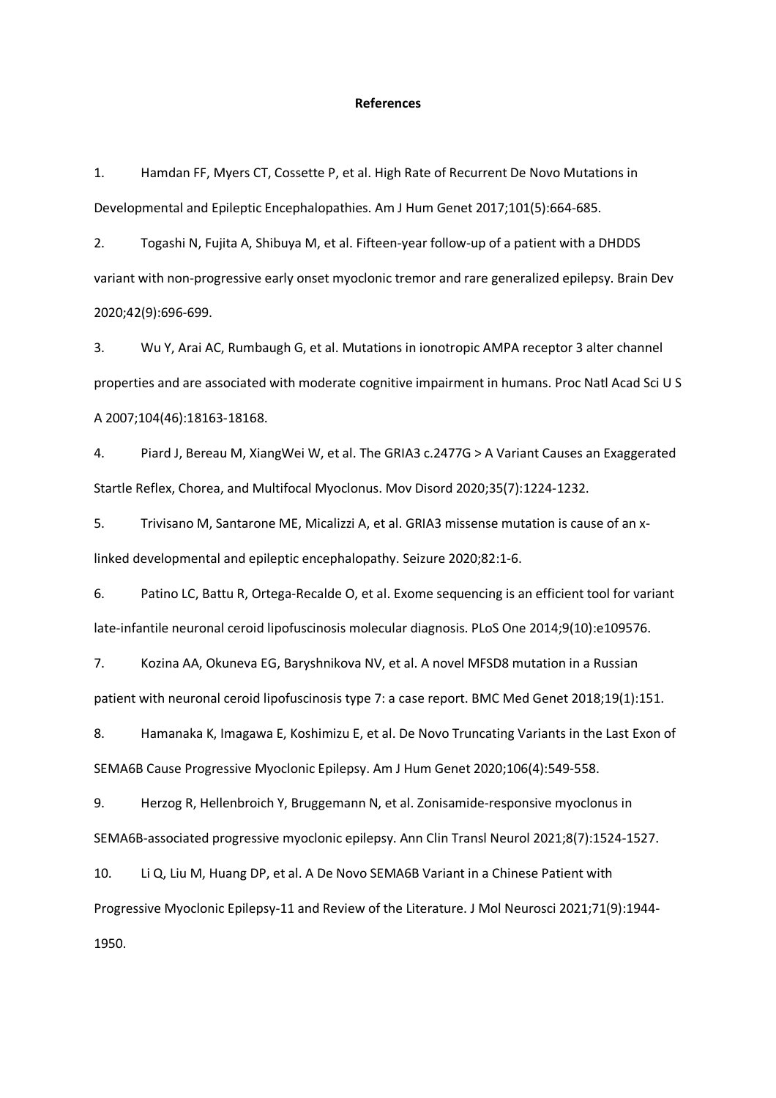## **References**

1. Hamdan FF, Myers CT, Cossette P, et al. High Rate of Recurrent De Novo Mutations in Developmental and Epileptic Encephalopathies. Am J Hum Genet 2017;101(5):664-685.

2. Togashi N, Fujita A, Shibuya M, et al. Fifteen-year follow-up of a patient with a DHDDS variant with non-progressive early onset myoclonic tremor and rare generalized epilepsy. Brain Dev 2020;42(9):696-699.

3. Wu Y, Arai AC, Rumbaugh G, et al. Mutations in ionotropic AMPA receptor 3 alter channel properties and are associated with moderate cognitive impairment in humans. Proc Natl Acad Sci U S A 2007;104(46):18163-18168.

4. Piard J, Bereau M, XiangWei W, et al. The GRIA3 c.2477G > A Variant Causes an Exaggerated Startle Reflex, Chorea, and Multifocal Myoclonus. Mov Disord 2020;35(7):1224-1232.

5. Trivisano M, Santarone ME, Micalizzi A, et al. GRIA3 missense mutation is cause of an xlinked developmental and epileptic encephalopathy. Seizure 2020;82:1-6.

6. Patino LC, Battu R, Ortega-Recalde O, et al. Exome sequencing is an efficient tool for variant late-infantile neuronal ceroid lipofuscinosis molecular diagnosis. PLoS One 2014;9(10):e109576.

7. Kozina AA, Okuneva EG, Baryshnikova NV, et al. A novel MFSD8 mutation in a Russian patient with neuronal ceroid lipofuscinosis type 7: a case report. BMC Med Genet 2018;19(1):151.

8. Hamanaka K, Imagawa E, Koshimizu E, et al. De Novo Truncating Variants in the Last Exon of SEMA6B Cause Progressive Myoclonic Epilepsy. Am J Hum Genet 2020;106(4):549-558.

9. Herzog R, Hellenbroich Y, Bruggemann N, et al. Zonisamide-responsive myoclonus in SEMA6B-associated progressive myoclonic epilepsy. Ann Clin Transl Neurol 2021;8(7):1524-1527.

10. Li Q, Liu M, Huang DP, et al. A De Novo SEMA6B Variant in a Chinese Patient with Progressive Myoclonic Epilepsy-11 and Review of the Literature. J Mol Neurosci 2021;71(9):1944- 1950.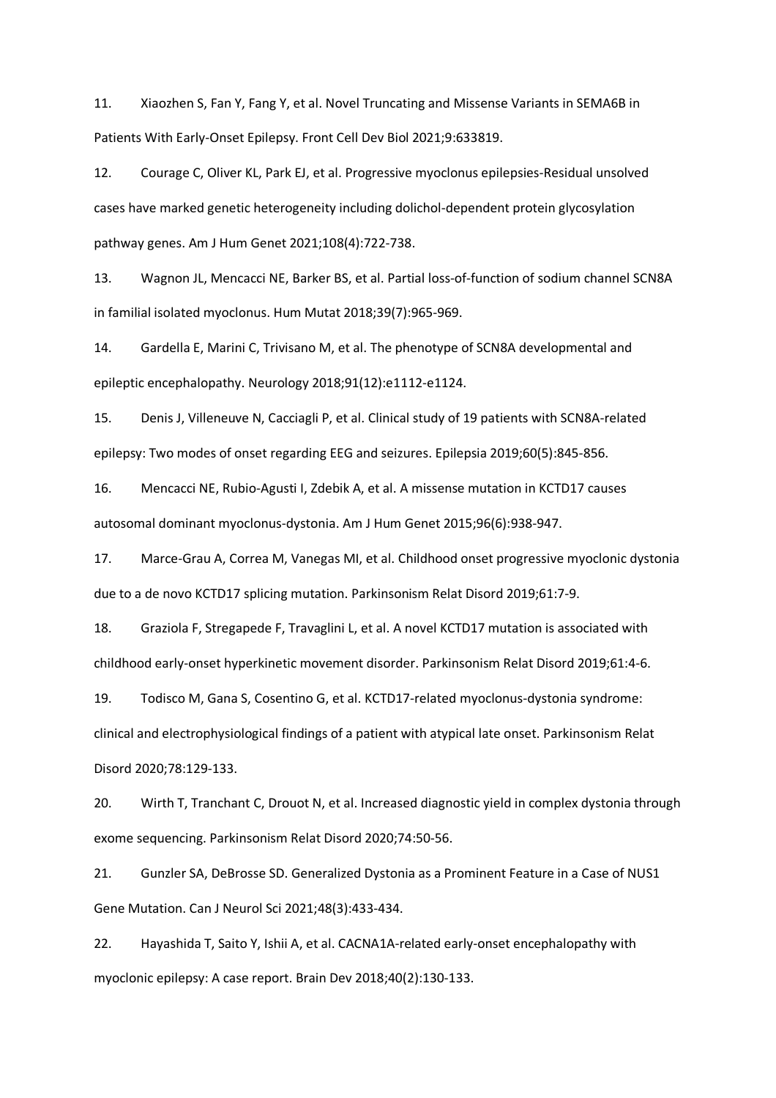11. Xiaozhen S, Fan Y, Fang Y, et al. Novel Truncating and Missense Variants in SEMA6B in Patients With Early-Onset Epilepsy. Front Cell Dev Biol 2021;9:633819.

12. Courage C, Oliver KL, Park EJ, et al. Progressive myoclonus epilepsies-Residual unsolved cases have marked genetic heterogeneity including dolichol-dependent protein glycosylation pathway genes. Am J Hum Genet 2021;108(4):722-738.

13. Wagnon JL, Mencacci NE, Barker BS, et al. Partial loss-of-function of sodium channel SCN8A in familial isolated myoclonus. Hum Mutat 2018;39(7):965-969.

14. Gardella E, Marini C, Trivisano M, et al. The phenotype of SCN8A developmental and epileptic encephalopathy. Neurology 2018;91(12):e1112-e1124.

15. Denis J, Villeneuve N, Cacciagli P, et al. Clinical study of 19 patients with SCN8A-related epilepsy: Two modes of onset regarding EEG and seizures. Epilepsia 2019;60(5):845-856.

16. Mencacci NE, Rubio-Agusti I, Zdebik A, et al. A missense mutation in KCTD17 causes autosomal dominant myoclonus-dystonia. Am J Hum Genet 2015;96(6):938-947.

17. Marce-Grau A, Correa M, Vanegas MI, et al. Childhood onset progressive myoclonic dystonia due to a de novo KCTD17 splicing mutation. Parkinsonism Relat Disord 2019;61:7-9.

18. Graziola F, Stregapede F, Travaglini L, et al. A novel KCTD17 mutation is associated with childhood early-onset hyperkinetic movement disorder. Parkinsonism Relat Disord 2019;61:4-6.

19. Todisco M, Gana S, Cosentino G, et al. KCTD17-related myoclonus-dystonia syndrome: clinical and electrophysiological findings of a patient with atypical late onset. Parkinsonism Relat Disord 2020;78:129-133.

20. Wirth T, Tranchant C, Drouot N, et al. Increased diagnostic yield in complex dystonia through exome sequencing. Parkinsonism Relat Disord 2020;74:50-56.

21. Gunzler SA, DeBrosse SD. Generalized Dystonia as a Prominent Feature in a Case of NUS1 Gene Mutation. Can J Neurol Sci 2021;48(3):433-434.

22. Hayashida T, Saito Y, Ishii A, et al. CACNA1A-related early-onset encephalopathy with myoclonic epilepsy: A case report. Brain Dev 2018;40(2):130-133.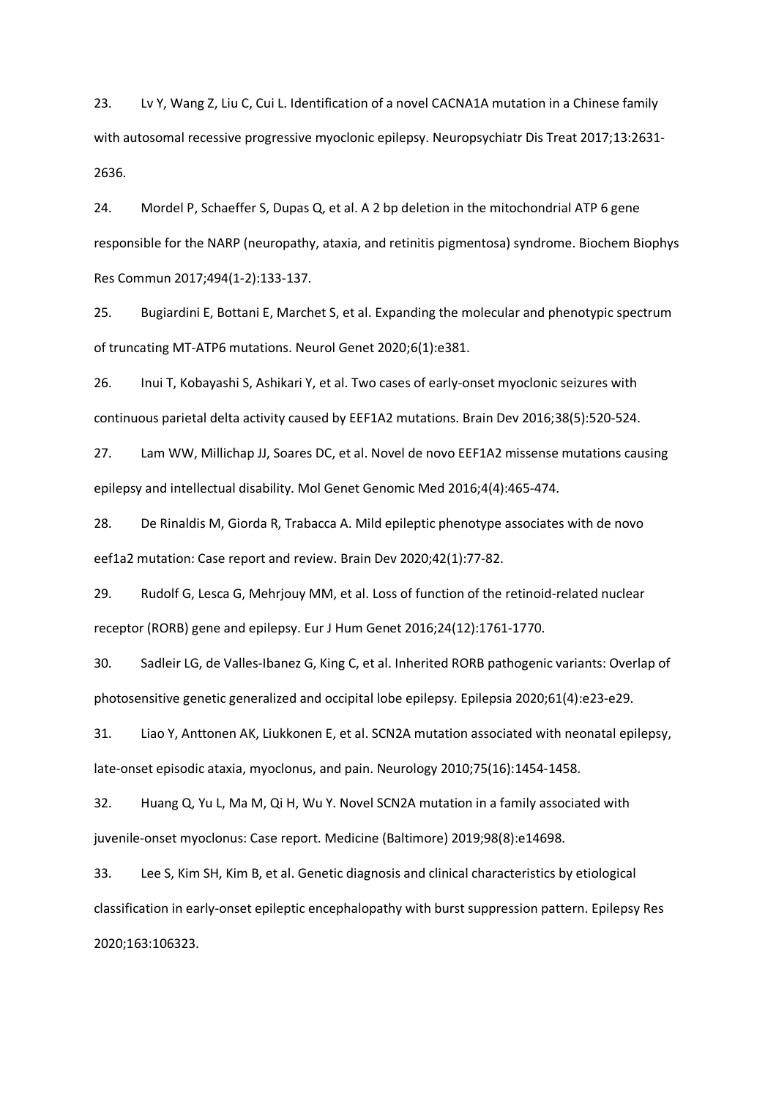23. Lv Y, Wang Z, Liu C, Cui L. Identification of a novel CACNA1A mutation in a Chinese family with autosomal recessive progressive myoclonic epilepsy. Neuropsychiatr Dis Treat 2017;13:2631- 2636.

24. Mordel P, Schaeffer S, Dupas Q, et al. A 2 bp deletion in the mitochondrial ATP 6 gene responsible for the NARP (neuropathy, ataxia, and retinitis pigmentosa) syndrome. Biochem Biophys Res Commun 2017;494(1-2):133-137.

25. Bugiardini E, Bottani E, Marchet S, et al. Expanding the molecular and phenotypic spectrum of truncating MT-ATP6 mutations. Neurol Genet 2020;6(1):e381.

26. Inui T, Kobayashi S, Ashikari Y, et al. Two cases of early-onset myoclonic seizures with continuous parietal delta activity caused by EEF1A2 mutations. Brain Dev 2016;38(5):520-524.

27. Lam WW, Millichap JJ, Soares DC, et al. Novel de novo EEF1A2 missense mutations causing epilepsy and intellectual disability. Mol Genet Genomic Med 2016;4(4):465-474.

28. De Rinaldis M, Giorda R, Trabacca A. Mild epileptic phenotype associates with de novo eef1a2 mutation: Case report and review. Brain Dev 2020;42(1):77-82.

29. Rudolf G, Lesca G, Mehrjouy MM, et al. Loss of function of the retinoid-related nuclear receptor (RORB) gene and epilepsy. Eur J Hum Genet 2016;24(12):1761-1770.

30. Sadleir LG, de Valles-Ibanez G, King C, et al. Inherited RORB pathogenic variants: Overlap of photosensitive genetic generalized and occipital lobe epilepsy. Epilepsia 2020;61(4):e23-e29.

31. Liao Y, Anttonen AK, Liukkonen E, et al. SCN2A mutation associated with neonatal epilepsy, late-onset episodic ataxia, myoclonus, and pain. Neurology 2010;75(16):1454-1458.

32. Huang Q, Yu L, Ma M, Qi H, Wu Y. Novel SCN2A mutation in a family associated with juvenile-onset myoclonus: Case report. Medicine (Baltimore) 2019;98(8):e14698.

33. Lee S, Kim SH, Kim B, et al. Genetic diagnosis and clinical characteristics by etiological classification in early-onset epileptic encephalopathy with burst suppression pattern. Epilepsy Res 2020;163:106323.